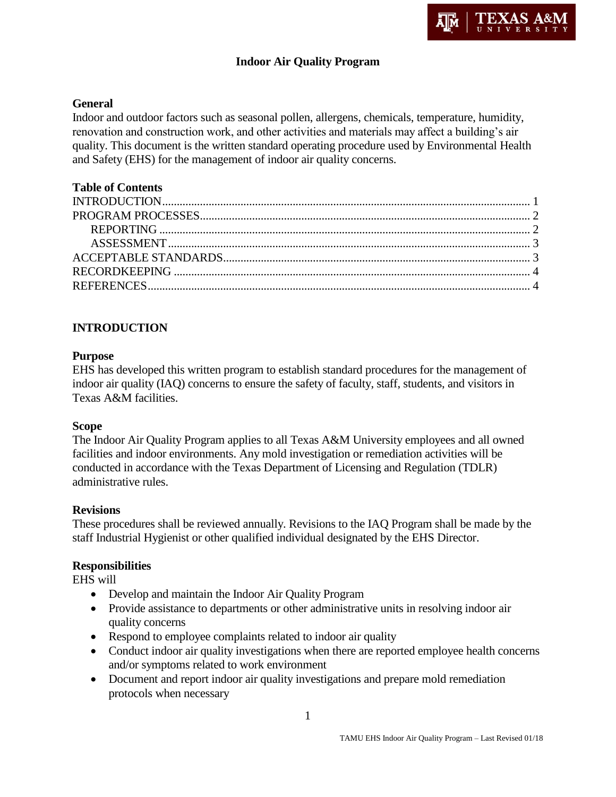## **Indoor Air Quality Program**

## **General**

Indoor and outdoor factors such as seasonal pollen, allergens, chemicals, temperature, humidity, renovation and construction work, and other activities and materials may affect a building's air quality. This document is the written standard operating procedure used by Environmental Health and Safety (EHS) for the management of indoor air quality concerns.

## **Table of Contents**

## **INTRODUCTION**

### **Purpose**

EHS has developed this written program to establish standard procedures for the management of indoor air quality (IAQ) concerns to ensure the safety of faculty, staff, students, and visitors in Texas A&M facilities.

### **Scope**

The Indoor Air Quality Program applies to all Texas A&M University employees and all owned facilities and indoor environments. Any mold investigation or remediation activities will be conducted in accordance with the Texas Department of Licensing and Regulation (TDLR) administrative rules.

### **Revisions**

These procedures shall be reviewed annually. Revisions to the IAQ Program shall be made by the staff Industrial Hygienist or other qualified individual designated by the EHS Director.

## **Responsibilities**

EHS will

- Develop and maintain the Indoor Air Quality Program
- Provide assistance to departments or other administrative units in resolving indoor air quality concerns
- Respond to employee complaints related to indoor air quality
- Conduct indoor air quality investigations when there are reported employee health concerns and/or symptoms related to work environment
- Document and report indoor air quality investigations and prepare mold remediation protocols when necessary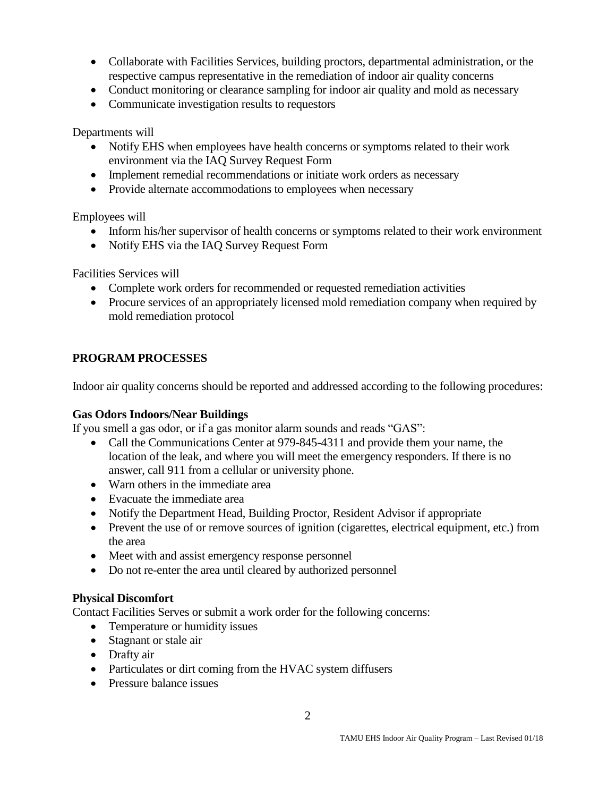- Collaborate with Facilities Services, building proctors, departmental administration, or the respective campus representative in the remediation of indoor air quality concerns
- Conduct monitoring or clearance sampling for indoor air quality and mold as necessary
- Communicate investigation results to requestors

Departments will

- Notify EHS when employees have health concerns or symptoms related to their work environment via the IAQ Survey Request Form
- Implement remedial recommendations or initiate work orders as necessary
- Provide alternate accommodations to employees when necessary

Employees will

- Inform his/her supervisor of health concerns or symptoms related to their work environment
- Notify EHS via the IAQ Survey Request Form

Facilities Services will

- Complete work orders for recommended or requested remediation activities
- Procure services of an appropriately licensed mold remediation company when required by mold remediation protocol

## **PROGRAM PROCESSES**

Indoor air quality concerns should be reported and addressed according to the following procedures:

### **Gas Odors Indoors/Near Buildings**

If you smell a gas odor, or if a gas monitor alarm sounds and reads "GAS":

- Call the Communications Center at 979-845-4311 and provide them your name, the location of the leak, and where you will meet the emergency responders. If there is no answer, call 911 from a cellular or university phone.
- Warn others in the immediate area
- Evacuate the immediate area
- Notify the Department Head, Building Proctor, Resident Advisor if appropriate
- Prevent the use of or remove sources of ignition (cigarettes, electrical equipment, etc.) from the area
- Meet with and assist emergency response personnel
- Do not re-enter the area until cleared by authorized personnel

### **Physical Discomfort**

Contact Facilities Serves or submit a work order for the following concerns:

- Temperature or humidity issues
- Stagnant or stale air
- Drafty air
- Particulates or dirt coming from the HVAC system diffusers
- Pressure balance issues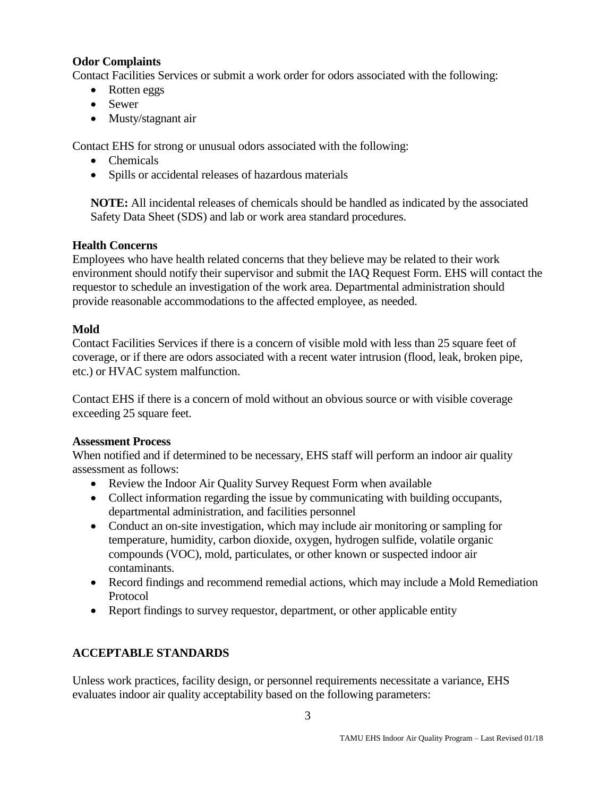## **Odor Complaints**

Contact Facilities Services or submit a work order for odors associated with the following:

- Rotten eggs
- Sewer
- Musty/stagnant air

Contact EHS for strong or unusual odors associated with the following:

- Chemicals
- Spills or accidental releases of hazardous materials

**NOTE:** All incidental releases of chemicals should be handled as indicated by the associated Safety Data Sheet (SDS) and lab or work area standard procedures.

## **Health Concerns**

Employees who have health related concerns that they believe may be related to their work environment should notify their supervisor and submit the IAQ Request Form. EHS will contact the requestor to schedule an investigation of the work area. Departmental administration should provide reasonable accommodations to the affected employee, as needed.

## **Mold**

Contact Facilities Services if there is a concern of visible mold with less than 25 square feet of coverage, or if there are odors associated with a recent water intrusion (flood, leak, broken pipe, etc.) or HVAC system malfunction.

Contact EHS if there is a concern of mold without an obvious source or with visible coverage exceeding 25 square feet.

### **Assessment Process**

When notified and if determined to be necessary, EHS staff will perform an indoor air quality assessment as follows:

- Review the Indoor Air Quality Survey Request Form when available
- Collect information regarding the issue by communicating with building occupants, departmental administration, and facilities personnel
- Conduct an on-site investigation, which may include air monitoring or sampling for temperature, humidity, carbon dioxide, oxygen, hydrogen sulfide, volatile organic compounds (VOC), mold, particulates, or other known or suspected indoor air contaminants.
- Record findings and recommend remedial actions, which may include a Mold Remediation Protocol
- Report findings to survey requestor, department, or other applicable entity

# **ACCEPTABLE STANDARDS**

Unless work practices, facility design, or personnel requirements necessitate a variance, EHS evaluates indoor air quality acceptability based on the following parameters: